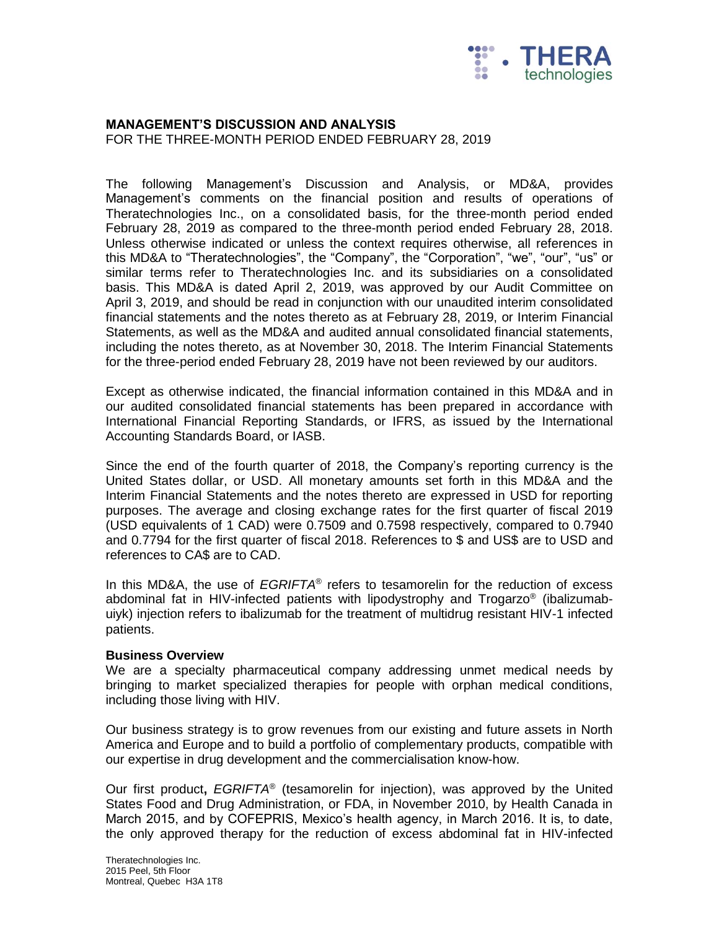

# **MANAGEMENT'S DISCUSSION AND ANALYSIS**

FOR THE THREE-MONTH PERIOD ENDED FEBRUARY 28, 2019

The following Management's Discussion and Analysis, or MD&A, provides Management's comments on the financial position and results of operations of Theratechnologies Inc., on a consolidated basis, for the three-month period ended February 28, 2019 as compared to the three-month period ended February 28, 2018. Unless otherwise indicated or unless the context requires otherwise, all references in this MD&A to "Theratechnologies", the "Company", the "Corporation", "we", "our", "us" or similar terms refer to Theratechnologies Inc. and its subsidiaries on a consolidated basis. This MD&A is dated April 2, 2019, was approved by our Audit Committee on April 3, 2019, and should be read in conjunction with our unaudited interim consolidated financial statements and the notes thereto as at February 28, 2019, or Interim Financial Statements, as well as the MD&A and audited annual consolidated financial statements, including the notes thereto, as at November 30, 2018. The Interim Financial Statements for the three-period ended February 28, 2019 have not been reviewed by our auditors.

Except as otherwise indicated, the financial information contained in this MD&A and in our audited consolidated financial statements has been prepared in accordance with International Financial Reporting Standards, or IFRS, as issued by the International Accounting Standards Board, or IASB.

Since the end of the fourth quarter of 2018, the Company's reporting currency is the United States dollar, or USD. All monetary amounts set forth in this MD&A and the Interim Financial Statements and the notes thereto are expressed in USD for reporting purposes. The average and closing exchange rates for the first quarter of fiscal 2019 (USD equivalents of 1 CAD) were 0.7509 and 0.7598 respectively, compared to 0.7940 and 0.7794 for the first quarter of fiscal 2018. References to \$ and US\$ are to USD and references to CA\$ are to CAD.

In this MD&A, the use of *EGRIFTA*® refers to tesamorelin for the reduction of excess abdominal fat in HIV-infected patients with lipodystrophy and Trogarzo® (ibalizumabuiyk) injection refers to ibalizumab for the treatment of multidrug resistant HIV-1 infected patients.

#### **Business Overview**

We are a specialty pharmaceutical company addressing unmet medical needs by bringing to market specialized therapies for people with orphan medical conditions, including those living with HIV.

Our business strategy is to grow revenues from our existing and future assets in North America and Europe and to build a portfolio of complementary products, compatible with our expertise in drug development and the commercialisation know-how.

Our first product**,** *EGRIFTA*® (tesamorelin for injection), was approved by the United States Food and Drug Administration, or FDA, in November 2010, by Health Canada in March 2015, and by COFEPRIS, Mexico's health agency, in March 2016. It is, to date, the only approved therapy for the reduction of excess abdominal fat in HIV-infected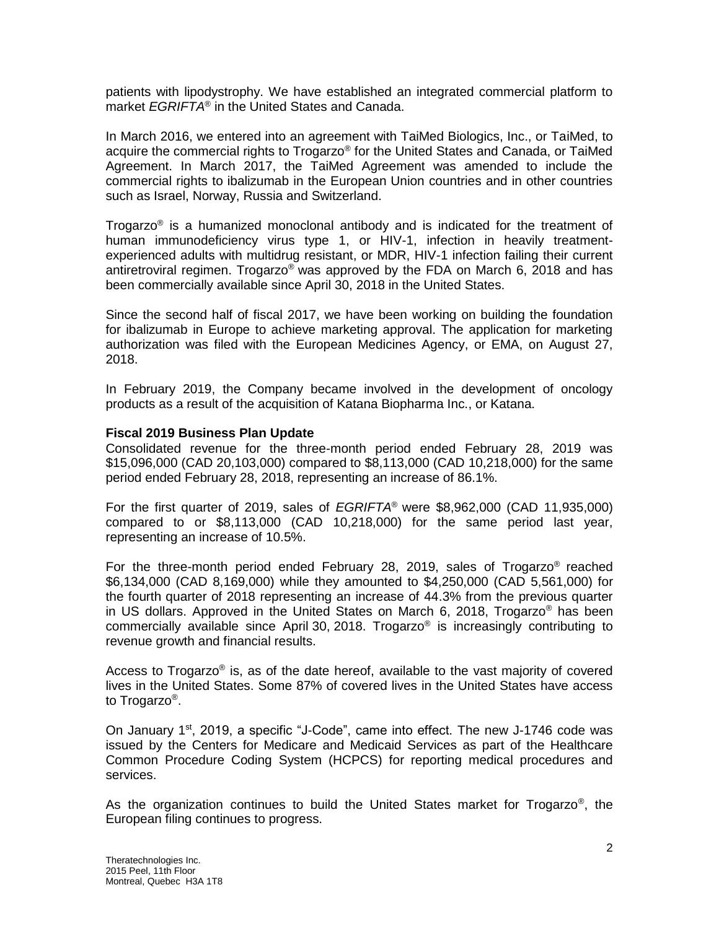patients with lipodystrophy. We have established an integrated commercial platform to market *EGRIFTA*® in the United States and Canada.

In March 2016, we entered into an agreement with TaiMed Biologics, Inc., or TaiMed, to acquire the commercial rights to Trogarzo® for the United States and Canada, or TaiMed Agreement. In March 2017, the TaiMed Agreement was amended to include the commercial rights to ibalizumab in the European Union countries and in other countries such as Israel, Norway, Russia and Switzerland.

Trogarzo® is a humanized monoclonal antibody and is indicated for the treatment of human immunodeficiency virus type 1, or HIV-1, infection in heavily treatmentexperienced adults with multidrug resistant, or MDR, HIV-1 infection failing their current antiretroviral regimen. Trogarzo® was approved by the FDA on March 6, 2018 and has been commercially available since April 30, 2018 in the United States.

Since the second half of fiscal 2017, we have been working on building the foundation for ibalizumab in Europe to achieve marketing approval. The application for marketing authorization was filed with the European Medicines Agency, or EMA, on August 27, 2018.

In February 2019, the Company became involved in the development of oncology products as a result of the acquisition of Katana Biopharma Inc., or Katana.

## **Fiscal 2019 Business Plan Update**

Consolidated revenue for the three-month period ended February 28, 2019 was \$15,096,000 (CAD 20,103,000) compared to \$8,113,000 (CAD 10,218,000) for the same period ended February 28, 2018, representing an increase of 86.1%.

For the first quarter of 2019, sales of *EGRIFTA*® were \$8,962,000 (CAD 11,935,000) compared to or \$8,113,000 (CAD 10,218,000) for the same period last year, representing an increase of 10.5%.

For the three-month period ended February 28, 2019, sales of Trogarzo® reached \$6,134,000 (CAD 8,169,000) while they amounted to \$4,250,000 (CAD 5,561,000) for the fourth quarter of 2018 representing an increase of 44.3% from the previous quarter in US dollars. Approved in the United States on March 6, 2018, Trogarzo<sup>®</sup> has been commercially available since April 30, 2018. Trogarzo® is increasingly contributing to revenue growth and financial results.

Access to Trogarzo® is, as of the date hereof, available to the vast majority of covered lives in the United States. Some 87% of covered lives in the United States have access to Trogarzo® .

On January 1st, 2019, a specific "J-Code", came into effect. The new J-1746 code was issued by the Centers for Medicare and Medicaid Services as part of the Healthcare Common Procedure Coding System (HCPCS) for reporting medical procedures and services.

As the organization continues to build the United States market for Trogarzo<sup>®</sup>, the European filing continues to progress.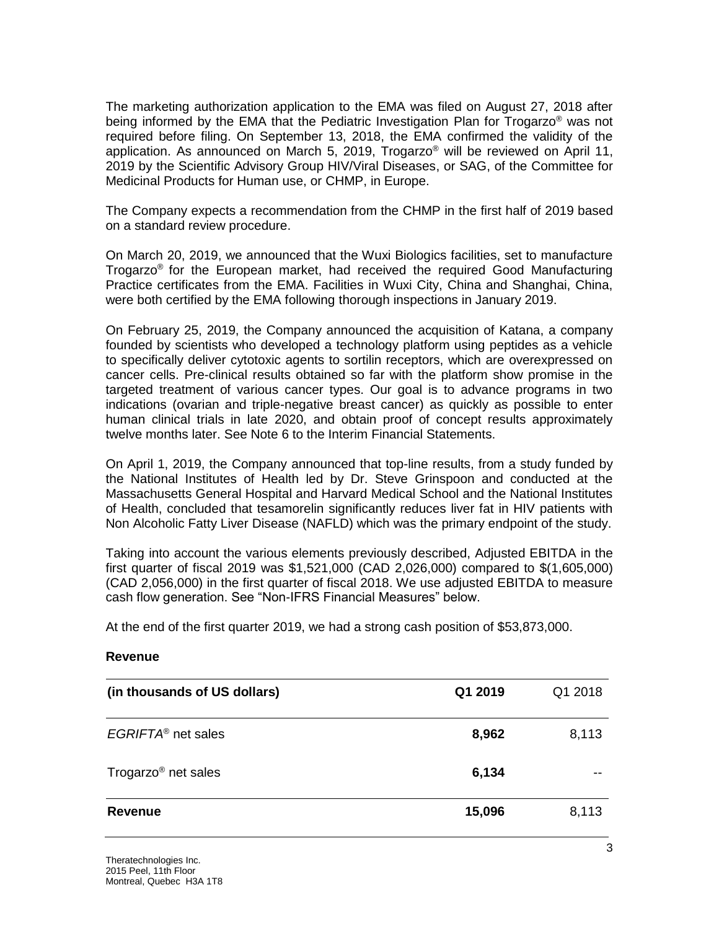The marketing authorization application to the EMA was filed on August 27, 2018 after being informed by the EMA that the Pediatric Investigation Plan for Trogarzo® was not required before filing. On September 13, 2018, the EMA confirmed the validity of the application. As announced on March 5, 2019, Trogarzo® will be reviewed on April 11, 2019 by the Scientific Advisory Group HIV/Viral Diseases, or SAG, of the Committee for Medicinal Products for Human use, or CHMP, in Europe.

The Company expects a recommendation from the CHMP in the first half of 2019 based on a standard review procedure.

On March 20, 2019, we announced that the Wuxi Biologics facilities, set to manufacture Trogarzo® for the European market, had received the required Good Manufacturing Practice certificates from the EMA. Facilities in Wuxi City, China and Shanghai, China, were both certified by the EMA following thorough inspections in January 2019.

On February 25, 2019, the Company announced the acquisition of Katana, a company founded by scientists who developed a technology platform using peptides as a vehicle to specifically deliver cytotoxic agents to sortilin receptors, which are overexpressed on cancer cells. Pre-clinical results obtained so far with the platform show promise in the targeted treatment of various cancer types. Our goal is to advance programs in two indications (ovarian and triple-negative breast cancer) as quickly as possible to enter human clinical trials in late 2020, and obtain proof of concept results approximately twelve months later. See Note 6 to the Interim Financial Statements.

On April 1, 2019, the Company announced that top-line results, from a study funded by the National Institutes of Health led by Dr. Steve Grinspoon and conducted at the Massachusetts General Hospital and Harvard Medical School and the National Institutes of Health, concluded that tesamorelin significantly reduces liver fat in HIV patients with Non Alcoholic Fatty Liver Disease (NAFLD) which was the primary endpoint of the study.

Taking into account the various elements previously described, Adjusted EBITDA in the first quarter of fiscal 2019 was \$1,521,000 (CAD 2,026,000) compared to \$(1,605,000) (CAD 2,056,000) in the first quarter of fiscal 2018. We use adjusted EBITDA to measure cash flow generation. See "Non-IFRS Financial Measures" below.

At the end of the first quarter 2019, we had a strong cash position of \$53,873,000.

#### **Revenue**

| (in thousands of US dollars)    | Q1 2019 | Q1 2018 |
|---------------------------------|---------|---------|
| EGRIFTA <sup>®</sup> net sales  | 8,962   | 8,113   |
| Trogarzo <sup>®</sup> net sales | 6,134   |         |
| Revenue                         | 15,096  | 8,113   |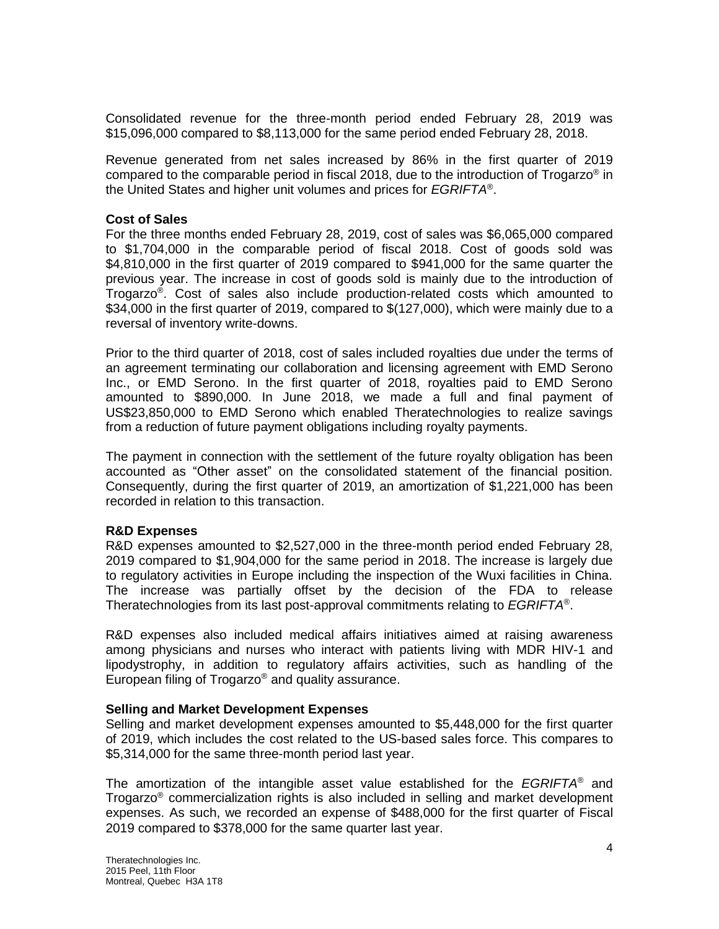Consolidated revenue for the three-month period ended February 28, 2019 was \$15,096,000 compared to \$8,113,000 for the same period ended February 28, 2018.

Revenue generated from net sales increased by 86% in the first quarter of 2019 compared to the comparable period in fiscal 2018, due to the introduction of Trogarzo® in the United States and higher unit volumes and prices for *EGRIFTA*® .

#### **Cost of Sales**

For the three months ended February 28, 2019, cost of sales was \$6,065,000 compared to \$1,704,000 in the comparable period of fiscal 2018. Cost of goods sold was \$4,810,000 in the first quarter of 2019 compared to \$941,000 for the same quarter the previous year. The increase in cost of goods sold is mainly due to the introduction of Trogarzo® . Cost of sales also include production-related costs which amounted to \$34,000 in the first quarter of 2019, compared to \$(127,000), which were mainly due to a reversal of inventory write-downs.

Prior to the third quarter of 2018, cost of sales included royalties due under the terms of an agreement terminating our collaboration and licensing agreement with EMD Serono Inc., or EMD Serono. In the first quarter of 2018, royalties paid to EMD Serono amounted to \$890,000. In June 2018, we made a full and final payment of US\$23,850,000 to EMD Serono which enabled Theratechnologies to realize savings from a reduction of future payment obligations including royalty payments.

The payment in connection with the settlement of the future royalty obligation has been accounted as "Other asset" on the consolidated statement of the financial position. Consequently, during the first quarter of 2019, an amortization of \$1,221,000 has been recorded in relation to this transaction.

#### **R&D Expenses**

R&D expenses amounted to \$2,527,000 in the three-month period ended February 28, 2019 compared to \$1,904,000 for the same period in 2018. The increase is largely due to regulatory activities in Europe including the inspection of the Wuxi facilities in China. The increase was partially offset by the decision of the FDA to release Theratechnologies from its last post-approval commitments relating to *EGRIFTA*® .

R&D expenses also included medical affairs initiatives aimed at raising awareness among physicians and nurses who interact with patients living with MDR HIV-1 and lipodystrophy, in addition to regulatory affairs activities, such as handling of the European filing of Trogarzo® and quality assurance.

#### **Selling and Market Development Expenses**

Selling and market development expenses amounted to \$5,448,000 for the first quarter of 2019, which includes the cost related to the US-based sales force. This compares to \$5,314,000 for the same three-month period last year.

The amortization of the intangible asset value established for the *EGRIFTA*® and Trogarzo® commercialization rights is also included in selling and market development expenses. As such, we recorded an expense of \$488,000 for the first quarter of Fiscal 2019 compared to \$378,000 for the same quarter last year.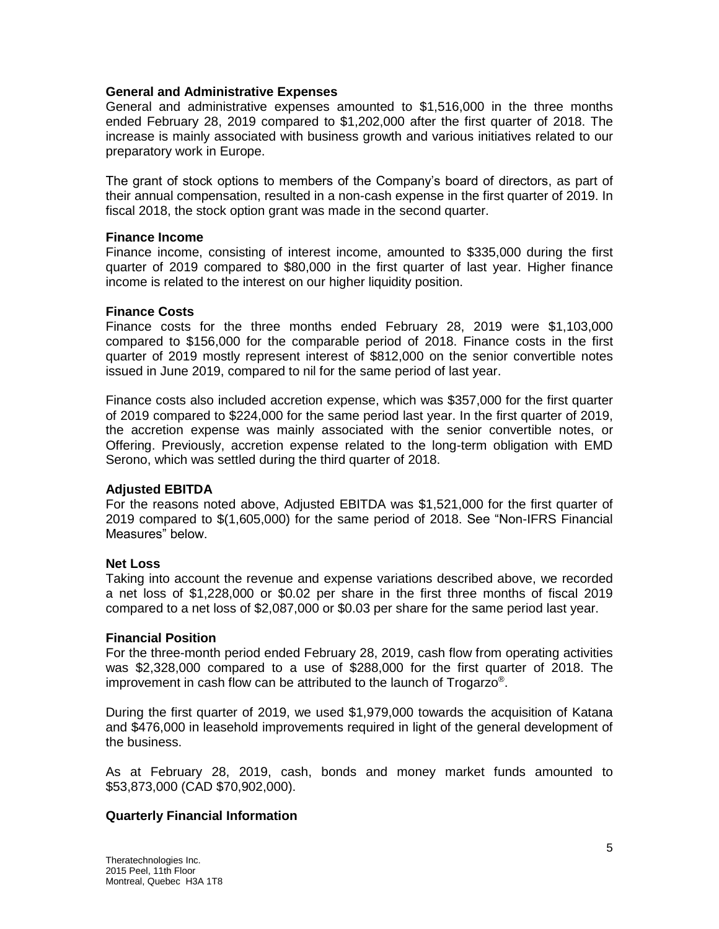#### **General and Administrative Expenses**

General and administrative expenses amounted to \$1,516,000 in the three months ended February 28, 2019 compared to \$1,202,000 after the first quarter of 2018. The increase is mainly associated with business growth and various initiatives related to our preparatory work in Europe.

The grant of stock options to members of the Company's board of directors, as part of their annual compensation, resulted in a non-cash expense in the first quarter of 2019. In fiscal 2018, the stock option grant was made in the second quarter.

#### **Finance Income**

Finance income, consisting of interest income, amounted to \$335,000 during the first quarter of 2019 compared to \$80,000 in the first quarter of last year. Higher finance income is related to the interest on our higher liquidity position.

#### **Finance Costs**

Finance costs for the three months ended February 28, 2019 were \$1,103,000 compared to \$156,000 for the comparable period of 2018. Finance costs in the first quarter of 2019 mostly represent interest of \$812,000 on the senior convertible notes issued in June 2019, compared to nil for the same period of last year.

Finance costs also included accretion expense, which was \$357,000 for the first quarter of 2019 compared to \$224,000 for the same period last year. In the first quarter of 2019, the accretion expense was mainly associated with the senior convertible notes, or Offering. Previously, accretion expense related to the long-term obligation with EMD Serono, which was settled during the third quarter of 2018.

#### **Adjusted EBITDA**

For the reasons noted above, Adjusted EBITDA was \$1,521,000 for the first quarter of 2019 compared to \$(1,605,000) for the same period of 2018. See "Non-IFRS Financial Measures" below.

#### **Net Loss**

Taking into account the revenue and expense variations described above, we recorded a net loss of \$1,228,000 or \$0.02 per share in the first three months of fiscal 2019 compared to a net loss of \$2,087,000 or \$0.03 per share for the same period last year.

#### **Financial Position**

For the three-month period ended February 28, 2019, cash flow from operating activities was \$2,328,000 compared to a use of \$288,000 for the first quarter of 2018. The improvement in cash flow can be attributed to the launch of Trogarzo® .

During the first quarter of 2019, we used \$1,979,000 towards the acquisition of Katana and \$476,000 in leasehold improvements required in light of the general development of the business.

As at February 28, 2019, cash, bonds and money market funds amounted to \$53,873,000 (CAD \$70,902,000).

#### **Quarterly Financial Information**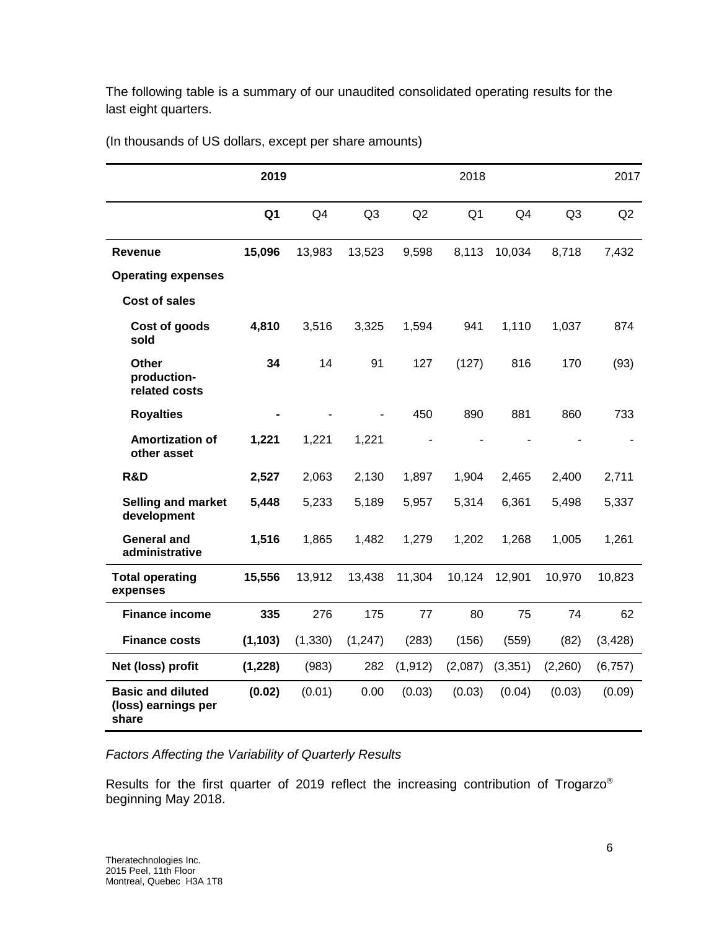The following table is a summary of our unaudited consolidated operating results for the last eight quarters.

|                                                          | 2019           |                |                |          | 2018           |                |                | 2017     |
|----------------------------------------------------------|----------------|----------------|----------------|----------|----------------|----------------|----------------|----------|
|                                                          | Q <sub>1</sub> | Q <sub>4</sub> | Q <sub>3</sub> | Q2       | Q <sub>1</sub> | Q <sub>4</sub> | Q <sub>3</sub> | Q2       |
| <b>Revenue</b>                                           | 15,096         | 13,983         | 13,523         | 9,598    | 8,113          | 10,034         | 8,718          | 7,432    |
| <b>Operating expenses</b>                                |                |                |                |          |                |                |                |          |
| <b>Cost of sales</b>                                     |                |                |                |          |                |                |                |          |
| Cost of goods<br>sold                                    | 4,810          | 3,516          | 3,325          | 1,594    | 941            | 1,110          | 1,037          | 874      |
| <b>Other</b><br>production-<br>related costs             | 34             | 14             | 91             | 127      | (127)          | 816            | 170            | (93)     |
| <b>Royalties</b>                                         |                |                |                | 450      | 890            | 881            | 860            | 733      |
| <b>Amortization of</b><br>other asset                    | 1,221          | 1,221          | 1,221          |          |                |                |                |          |
| R&D                                                      | 2,527          | 2,063          | 2,130          | 1,897    | 1,904          | 2,465          | 2,400          | 2,711    |
| <b>Selling and market</b><br>development                 | 5,448          | 5,233          | 5,189          | 5,957    | 5,314          | 6,361          | 5,498          | 5,337    |
| <b>General and</b><br>administrative                     | 1,516          | 1,865          | 1,482          | 1,279    | 1,202          | 1,268          | 1,005          | 1,261    |
| <b>Total operating</b><br>expenses                       | 15,556         | 13,912         | 13,438         | 11,304   | 10,124         | 12,901         | 10,970         | 10,823   |
| <b>Finance income</b>                                    | 335            | 276            | 175            | 77       | 80             | 75             | 74             | 62       |
| <b>Finance costs</b>                                     | (1, 103)       | (1, 330)       | (1, 247)       | (283)    | (156)          | (559)          | (82)           | (3, 428) |
| Net (loss) profit                                        | (1, 228)       | (983)          | 282            | (1, 912) | (2,087)        | (3,351)        | (2,260)        | (6, 757) |
| <b>Basic and diluted</b><br>(loss) earnings per<br>share | (0.02)         | (0.01)         | 0.00           | (0.03)   | (0.03)         | (0.04)         | (0.03)         | (0.09)   |

(In thousands of US dollars, except per share amounts)

# *Factors Affecting the Variability of Quarterly Results*

Results for the first quarter of 2019 reflect the increasing contribution of Trogarzo® beginning May 2018.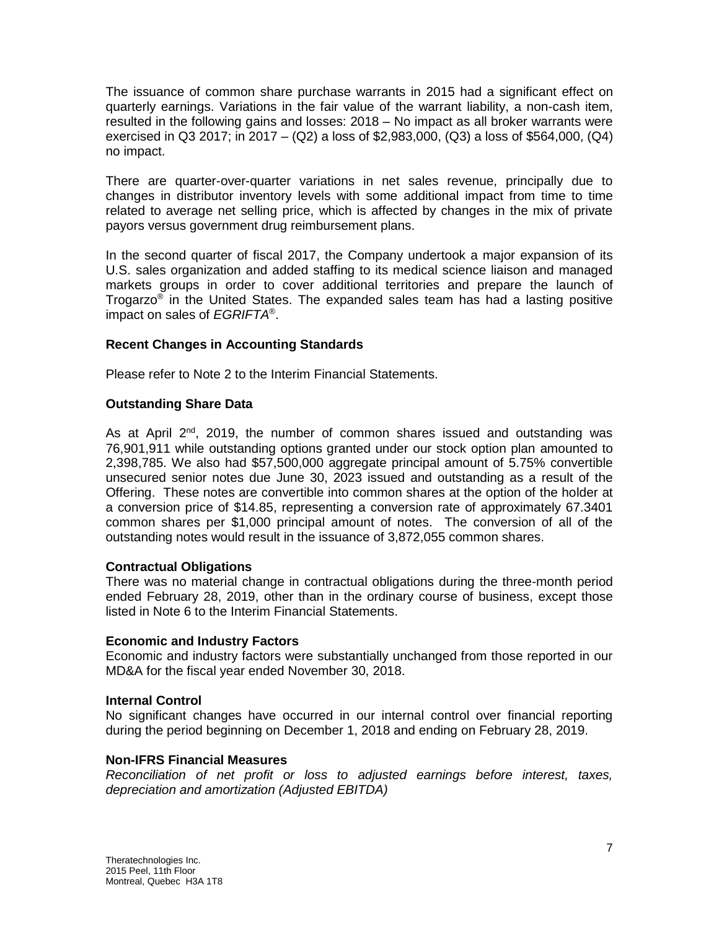The issuance of common share purchase warrants in 2015 had a significant effect on quarterly earnings. Variations in the fair value of the warrant liability, a non-cash item, resulted in the following gains and losses: 2018 – No impact as all broker warrants were exercised in Q3 2017; in 2017 – (Q2) a loss of \$2,983,000, (Q3) a loss of \$564,000, (Q4) no impact.

There are quarter-over-quarter variations in net sales revenue, principally due to changes in distributor inventory levels with some additional impact from time to time related to average net selling price, which is affected by changes in the mix of private payors versus government drug reimbursement plans.

In the second quarter of fiscal 2017, the Company undertook a major expansion of its U.S. sales organization and added staffing to its medical science liaison and managed markets groups in order to cover additional territories and prepare the launch of Trogarzo® in the United States. The expanded sales team has had a lasting positive impact on sales of *EGRIFTA*® .

# **Recent Changes in Accounting Standards**

Please refer to Note 2 to the Interim Financial Statements.

## **Outstanding Share Data**

As at April  $2^{nd}$ , 2019, the number of common shares issued and outstanding was 76,901,911 while outstanding options granted under our stock option plan amounted to 2,398,785. We also had \$57,500,000 aggregate principal amount of 5.75% convertible unsecured senior notes due June 30, 2023 issued and outstanding as a result of the Offering. These notes are convertible into common shares at the option of the holder at a conversion price of \$14.85, representing a conversion rate of approximately 67.3401 common shares per \$1,000 principal amount of notes. The conversion of all of the outstanding notes would result in the issuance of 3,872,055 common shares.

#### **Contractual Obligations**

There was no material change in contractual obligations during the three-month period ended February 28, 2019, other than in the ordinary course of business, except those listed in Note 6 to the Interim Financial Statements.

#### **Economic and Industry Factors**

Economic and industry factors were substantially unchanged from those reported in our MD&A for the fiscal year ended November 30, 2018.

#### **Internal Control**

No significant changes have occurred in our internal control over financial reporting during the period beginning on December 1, 2018 and ending on February 28, 2019.

#### **Non-IFRS Financial Measures**

*Reconciliation of net profit or loss to adjusted earnings before interest, taxes, depreciation and amortization (Adjusted EBITDA)*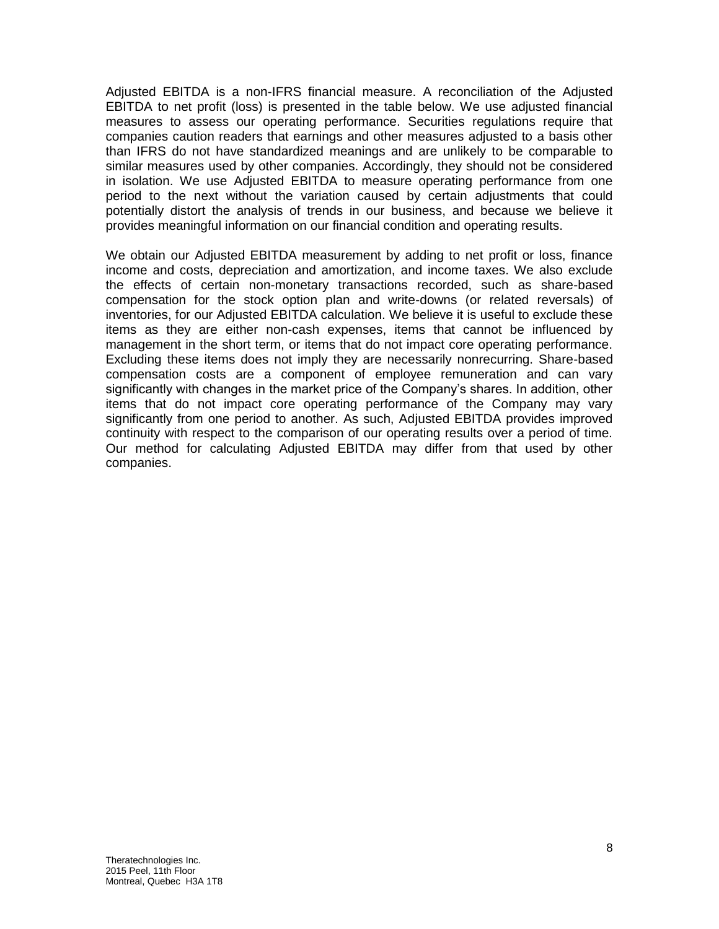Adjusted EBITDA is a non-IFRS financial measure. A reconciliation of the Adjusted EBITDA to net profit (loss) is presented in the table below. We use adjusted financial measures to assess our operating performance. Securities regulations require that companies caution readers that earnings and other measures adjusted to a basis other than IFRS do not have standardized meanings and are unlikely to be comparable to similar measures used by other companies. Accordingly, they should not be considered in isolation. We use Adjusted EBITDA to measure operating performance from one period to the next without the variation caused by certain adjustments that could potentially distort the analysis of trends in our business, and because we believe it provides meaningful information on our financial condition and operating results.

We obtain our Adjusted EBITDA measurement by adding to net profit or loss, finance income and costs, depreciation and amortization, and income taxes. We also exclude the effects of certain non-monetary transactions recorded, such as share-based compensation for the stock option plan and write-downs (or related reversals) of inventories, for our Adjusted EBITDA calculation. We believe it is useful to exclude these items as they are either non-cash expenses, items that cannot be influenced by management in the short term, or items that do not impact core operating performance. Excluding these items does not imply they are necessarily nonrecurring. Share-based compensation costs are a component of employee remuneration and can vary significantly with changes in the market price of the Company's shares. In addition, other items that do not impact core operating performance of the Company may vary significantly from one period to another. As such, Adjusted EBITDA provides improved continuity with respect to the comparison of our operating results over a period of time. Our method for calculating Adjusted EBITDA may differ from that used by other companies.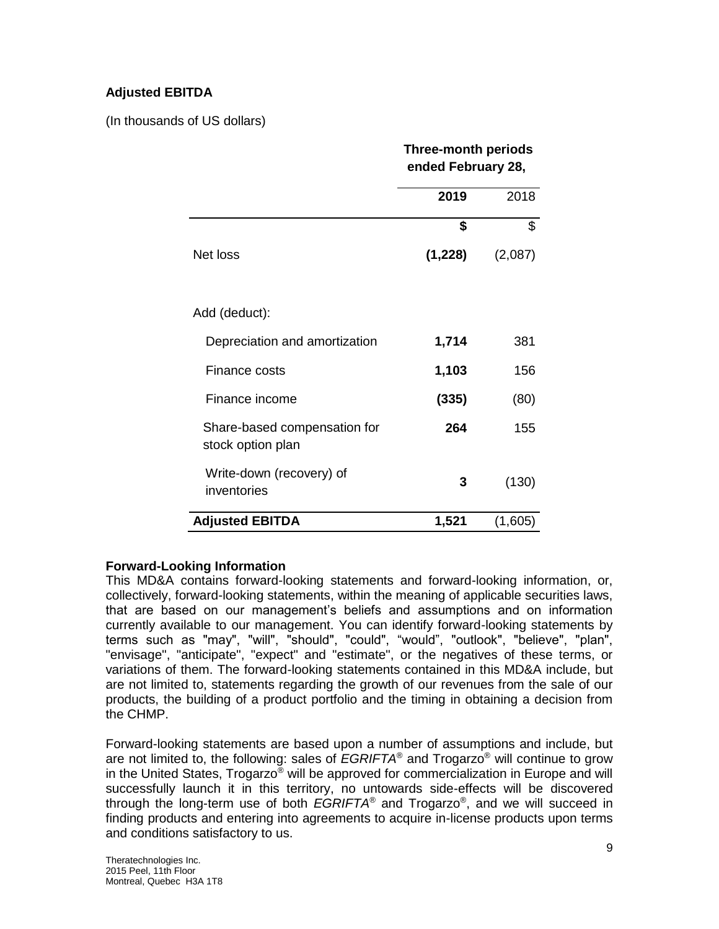# **Adjusted EBITDA**

(In thousands of US dollars)

|                                                   | <b>Three-month periods</b><br>ended February 28, |         |  |
|---------------------------------------------------|--------------------------------------------------|---------|--|
|                                                   | 2019                                             | 2018    |  |
|                                                   | \$                                               | \$      |  |
| Net loss                                          | (1,228)                                          | (2,087) |  |
| Add (deduct):                                     |                                                  |         |  |
| Depreciation and amortization                     | 1,714                                            | 381     |  |
| Finance costs                                     | 1,103                                            | 156     |  |
| Finance income                                    | (335)                                            | (80)    |  |
| Share-based compensation for<br>stock option plan | 264                                              | 155     |  |
| Write-down (recovery) of<br>inventories           | 3                                                | (130)   |  |
| <b>Adjusted EBITDA</b>                            | 1,521                                            | (1,605) |  |

# **Forward-Looking Information**

This MD&A contains forward-looking statements and forward-looking information, or, collectively, forward-looking statements, within the meaning of applicable securities laws, that are based on our management's beliefs and assumptions and on information currently available to our management. You can identify forward-looking statements by terms such as "may", "will", "should", "could", "would", "outlook", "believe", "plan", "envisage", "anticipate", "expect" and "estimate", or the negatives of these terms, or variations of them. The forward-looking statements contained in this MD&A include, but are not limited to, statements regarding the growth of our revenues from the sale of our products, the building of a product portfolio and the timing in obtaining a decision from the CHMP.

Forward-looking statements are based upon a number of assumptions and include, but are not limited to, the following: sales of *EGRIFTA*® and Trogarzo® will continue to grow in the United States, Trogarzo® will be approved for commercialization in Europe and will successfully launch it in this territory, no untowards side-effects will be discovered through the long-term use of both *EGRIFTA*® and Trogarzo® , and we will succeed in finding products and entering into agreements to acquire in-license products upon terms and conditions satisfactory to us.